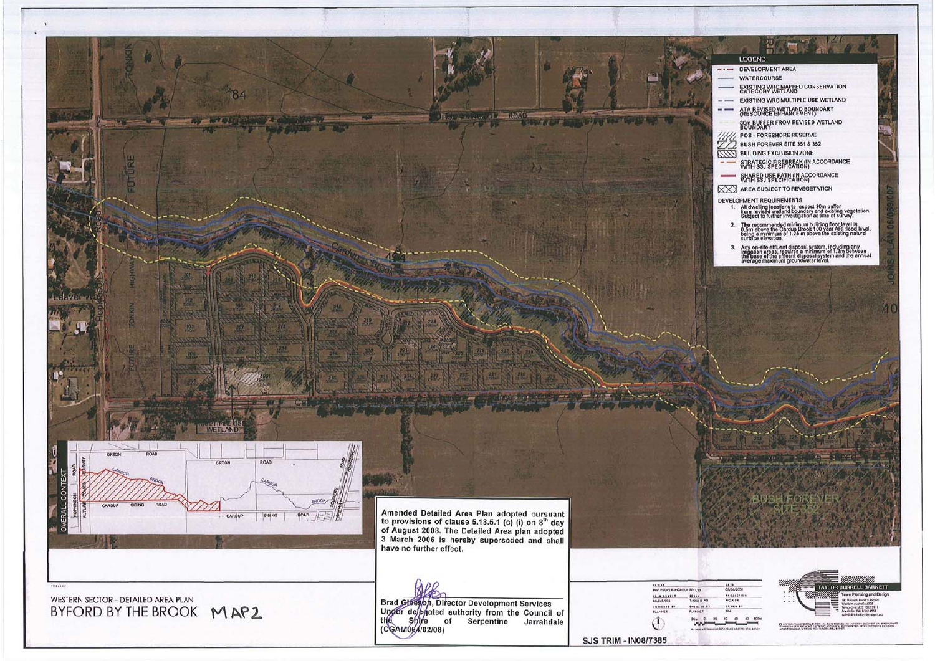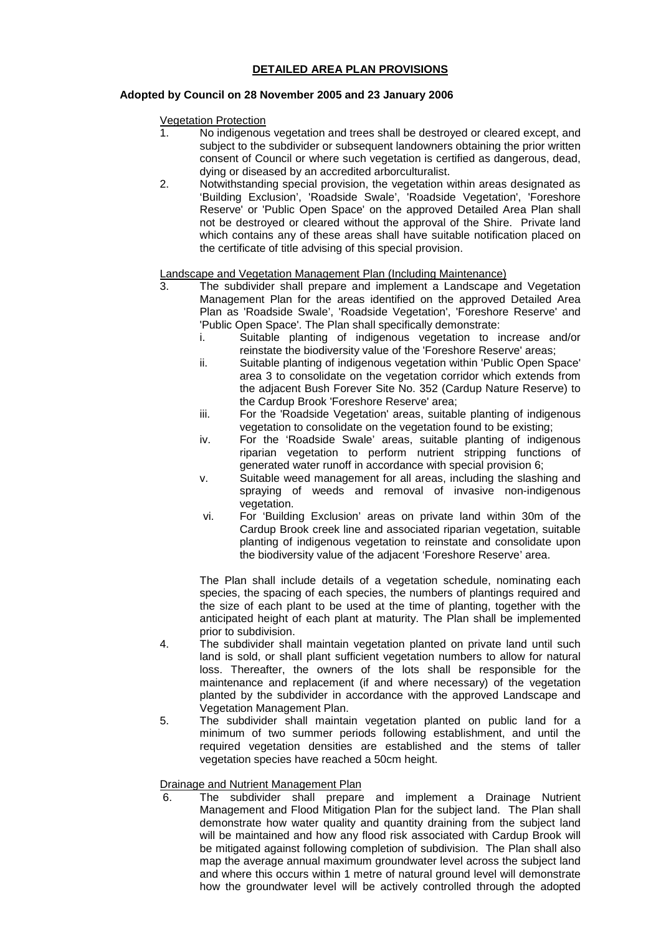## **DETAILED AREA PLAN PROVISIONS**

## **Adopted by Council on 28 November 2005 and 23 January 2006**

Vegetation Protection

- 1. No indigenous vegetation and trees shall be destroyed or cleared except, and subject to the subdivider or subsequent landowners obtaining the prior written consent of Council or where such vegetation is certified as dangerous, dead, dying or diseased by an accredited arborculturalist.
- 2. Notwithstanding special provision, the vegetation within areas designated as 'Building Exclusion', 'Roadside Swale', 'Roadside Vegetation', 'Foreshore Reserve' or 'Public Open Space' on the approved Detailed Area Plan shall not be destroyed or cleared without the approval of the Shire. Private land which contains any of these areas shall have suitable notification placed on the certificate of title advising of this special provision.

## Landscape and Vegetation Management Plan (Including Maintenance)

- 3. The subdivider shall prepare and implement a Landscape and Vegetation Management Plan for the areas identified on the approved Detailed Area Plan as 'Roadside Swale', 'Roadside Vegetation', 'Foreshore Reserve' and 'Public Open Space'. The Plan shall specifically demonstrate:
	- Suitable planting of indigenous vegetation to increase and/or reinstate the biodiversity value of the 'Foreshore Reserve' areas;
	- ii. Suitable planting of indigenous vegetation within 'Public Open Space' area 3 to consolidate on the vegetation corridor which extends from the adjacent Bush Forever Site No. 352 (Cardup Nature Reserve) to the Cardup Brook 'Foreshore Reserve' area;
	- iii. For the 'Roadside Vegetation' areas, suitable planting of indigenous vegetation to consolidate on the vegetation found to be existing;
	- iv. For the 'Roadside Swale' areas, suitable planting of indigenous riparian vegetation to perform nutrient stripping functions of generated water runoff in accordance with special provision 6;
	- v. Suitable weed management for all areas, including the slashing and spraying of weeds and removal of invasive non-indigenous vegetation.
	- vi. For 'Building Exclusion' areas on private land within 30m of the Cardup Brook creek line and associated riparian vegetation, suitable planting of indigenous vegetation to reinstate and consolidate upon the biodiversity value of the adjacent 'Foreshore Reserve' area.

The Plan shall include details of a vegetation schedule, nominating each species, the spacing of each species, the numbers of plantings required and the size of each plant to be used at the time of planting, together with the anticipated height of each plant at maturity. The Plan shall be implemented prior to subdivision.

- 4. The subdivider shall maintain vegetation planted on private land until such land is sold, or shall plant sufficient vegetation numbers to allow for natural loss. Thereafter, the owners of the lots shall be responsible for the maintenance and replacement (if and where necessary) of the vegetation planted by the subdivider in accordance with the approved Landscape and Vegetation Management Plan.
- 5. The subdivider shall maintain vegetation planted on public land for a minimum of two summer periods following establishment, and until the required vegetation densities are established and the stems of taller vegetation species have reached a 50cm height.

## Drainage and Nutrient Management Plan

6. The subdivider shall prepare and implement a Drainage Nutrient Management and Flood Mitigation Plan for the subject land. The Plan shall demonstrate how water quality and quantity draining from the subject land will be maintained and how any flood risk associated with Cardup Brook will be mitigated against following completion of subdivision. The Plan shall also map the average annual maximum groundwater level across the subject land and where this occurs within 1 metre of natural ground level will demonstrate how the groundwater level will be actively controlled through the adopted